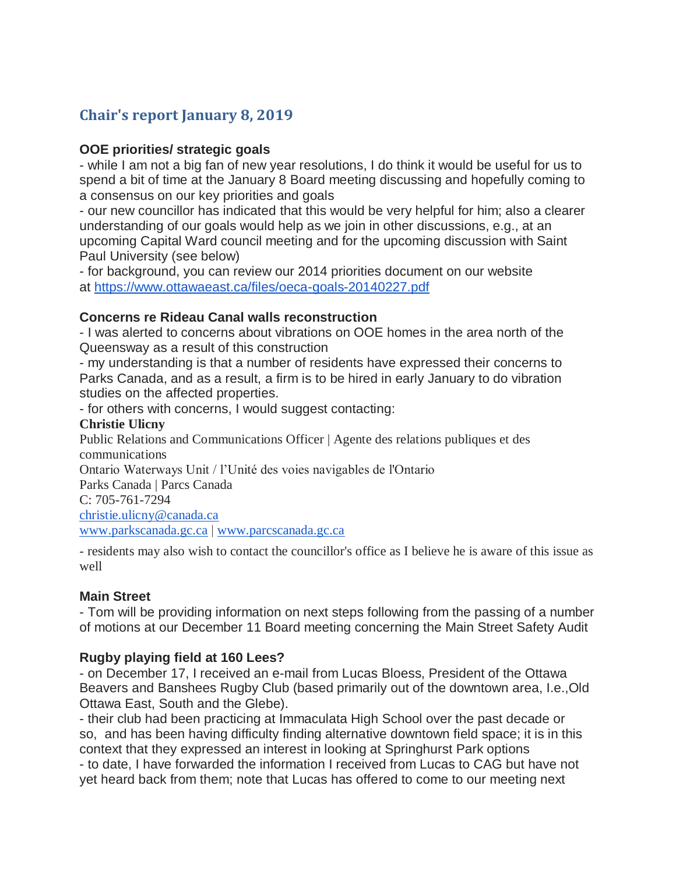# **Chair's report January 8, 2019**

### **OOE priorities/ strategic goals**

- while I am not a big fan of new year resolutions, I do think it would be useful for us to spend a bit of time at the January 8 Board meeting discussing and hopefully coming to a consensus on our key priorities and goals

- our new councillor has indicated that this would be very helpful for him; also a clearer understanding of our goals would help as we join in other discussions, e.g., at an upcoming Capital Ward council meeting and for the upcoming discussion with Saint Paul University (see below)

- for background, you can review our 2014 priorities document on our website at <https://www.ottawaeast.ca/files/oeca-goals-20140227.pdf>

#### **Concerns re Rideau Canal walls reconstruction**

- I was alerted to concerns about vibrations on OOE homes in the area north of the Queensway as a result of this construction

- my understanding is that a number of residents have expressed their concerns to Parks Canada, and as a result, a firm is to be hired in early January to do vibration studies on the affected properties.

- for others with concerns, I would suggest contacting:

#### **Christie Ulicny**

Public Relations and Communications Officer | Agente des relations publiques et des communications

Ontario Waterways Unit / l'Unité des voies navigables de l'Ontario

Parks Canada | Parcs Canada

C: 705-761-7294

[christie.ulicny@canada.ca](mailto:christie.ulicny@canada.ca)

[www.parkscanada.gc.ca](http://www.parkscanada.gc.ca/) | [www.parcscanada.gc.ca](http://www.parcscanada.gc.ca/)

- residents may also wish to contact the councillor's office as I believe he is aware of this issue as well

## **Main Street**

- Tom will be providing information on next steps following from the passing of a number of motions at our December 11 Board meeting concerning the Main Street Safety Audit

## **Rugby playing field at 160 Lees?**

- on December 17, I received an e-mail from Lucas Bloess, President of the Ottawa Beavers and Banshees Rugby Club (based primarily out of the downtown area, I.e.,Old Ottawa East, South and the Glebe).

- their club had been practicing at Immaculata High School over the past decade or so, and has been having difficulty finding alternative downtown field space; it is in this context that they expressed an interest in looking at Springhurst Park options - to date, I have forwarded the information I received from Lucas to CAG but have not yet heard back from them; note that Lucas has offered to come to our meeting next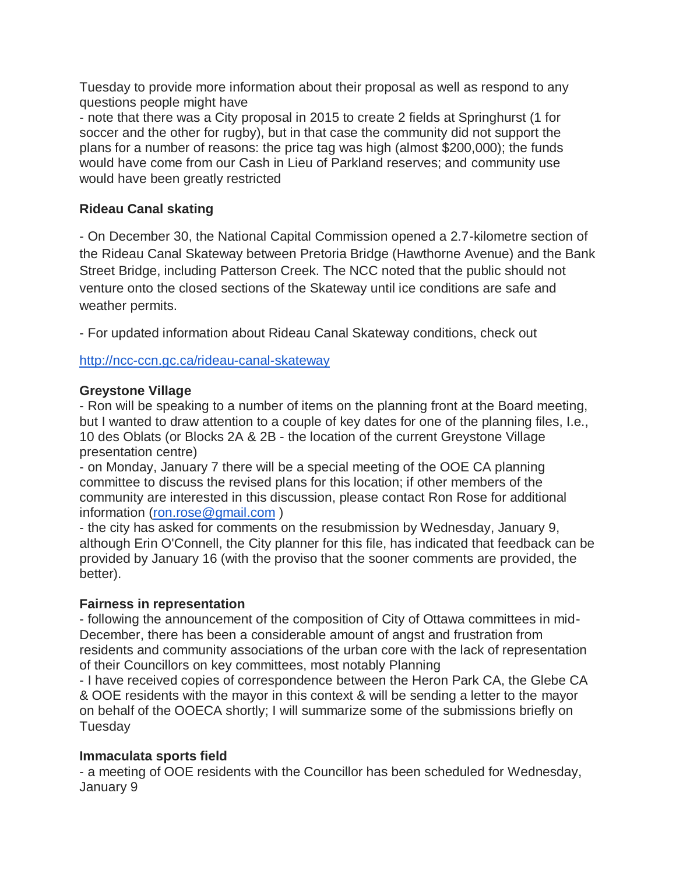Tuesday to provide more information about their proposal as well as respond to any questions people might have

- note that there was a City proposal in 2015 to create 2 fields at Springhurst (1 for soccer and the other for rugby), but in that case the community did not support the plans for a number of reasons: the price tag was high (almost \$200,000); the funds would have come from our Cash in Lieu of Parkland reserves; and community use would have been greatly restricted

# **Rideau Canal skating**

- On December 30, the National Capital Commission opened a 2.7-kilometre section of the Rideau Canal Skateway between Pretoria Bridge (Hawthorne Avenue) and the Bank Street Bridge, including Patterson Creek. The NCC noted that the public should not venture onto the closed sections of the Skateway until ice conditions are safe and weather permits.

- For updated information about Rideau Canal Skateway conditions, check out

<http://ncc-ccn.gc.ca/rideau-canal-skateway>

## **Greystone Village**

- Ron will be speaking to a number of items on the planning front at the Board meeting, but I wanted to draw attention to a couple of key dates for one of the planning files, I.e., 10 des Oblats (or Blocks 2A & 2B - the location of the current Greystone Village presentation centre)

- on Monday, January 7 there will be a special meeting of the OOE CA planning committee to discuss the revised plans for this location; if other members of the community are interested in this discussion, please contact Ron Rose for additional information [\(ron.rose@gmail.com](mailto:ron.rose@gmail.com) )

- the city has asked for comments on the resubmission by Wednesday, January 9, although Erin O'Connell, the City planner for this file, has indicated that feedback can be provided by January 16 (with the proviso that the sooner comments are provided, the better).

#### **Fairness in representation**

- following the announcement of the composition of City of Ottawa committees in mid-December, there has been a considerable amount of angst and frustration from residents and community associations of the urban core with the lack of representation of their Councillors on key committees, most notably Planning

- I have received copies of correspondence between the Heron Park CA, the Glebe CA & OOE residents with the mayor in this context & will be sending a letter to the mayor on behalf of the OOECA shortly; I will summarize some of the submissions briefly on Tuesday

## **Immaculata sports field**

- a meeting of OOE residents with the Councillor has been scheduled for Wednesday, January 9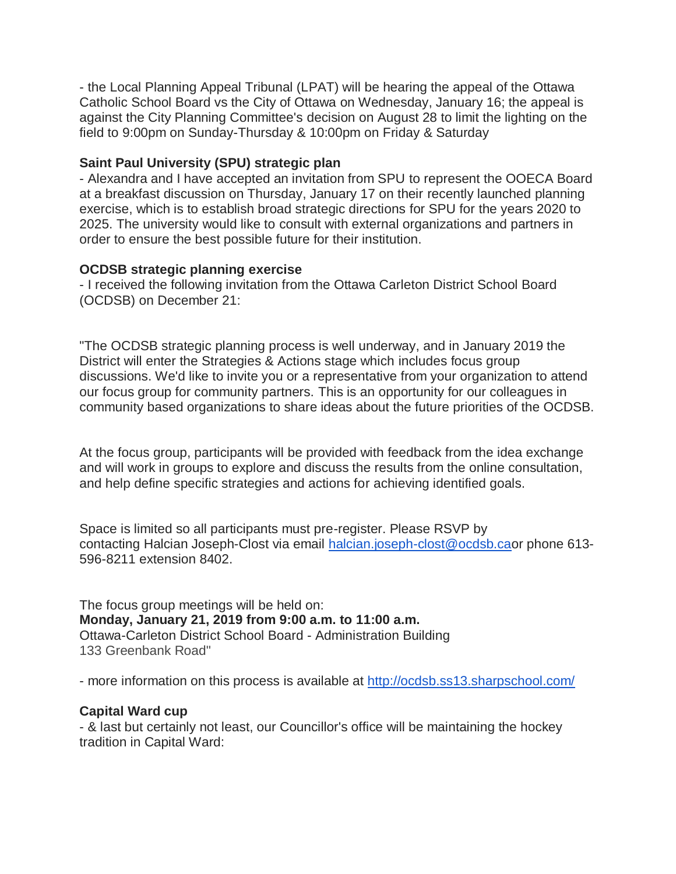- the Local Planning Appeal Tribunal (LPAT) will be hearing the appeal of the Ottawa Catholic School Board vs the City of Ottawa on Wednesday, January 16; the appeal is against the City Planning Committee's decision on August 28 to limit the lighting on the field to 9:00pm on Sunday-Thursday & 10:00pm on Friday & Saturday

#### **Saint Paul University (SPU) strategic plan**

- Alexandra and I have accepted an invitation from SPU to represent the OOECA Board at a breakfast discussion on Thursday, January 17 on their recently launched planning exercise, which is to establish broad strategic directions for SPU for the years 2020 to 2025. The university would like to consult with external organizations and partners in order to ensure the best possible future for their institution.

### **OCDSB strategic planning exercise**

- I received the following invitation from the Ottawa Carleton District School Board (OCDSB) on December 21:

"The OCDSB strategic planning process is well underway, and in January 2019 the District will enter the Strategies & Actions stage which includes focus group discussions. We'd like to invite you or a representative from your organization to attend our focus group for community partners. This is an opportunity for our colleagues in community based organizations to share ideas about the future priorities of the OCDSB.

At the focus group, participants will be provided with feedback from the idea exchange and will work in groups to explore and discuss the results from the online consultation, and help define specific strategies and actions for achieving identified goals.

Space is limited so all participants must pre-register. Please RSVP by contacting Halcian Joseph-Clost via email [halcian.joseph-clost@ocdsb.cao](mailto:halcian.joseph-clost@ocdsb.ca)r phone 613- 596-8211 extension 8402.

The focus group meetings will be held on: **Monday, January 21, 2019 from 9:00 a.m. to 11:00 a.m.** Ottawa-Carleton District School Board - Administration Building 133 Greenbank Road"

- more information on this process is available at <http://ocdsb.ss13.sharpschool.com/>

#### **Capital Ward cup**

- & last but certainly not least, our Councillor's office will be maintaining the hockey tradition in Capital Ward: